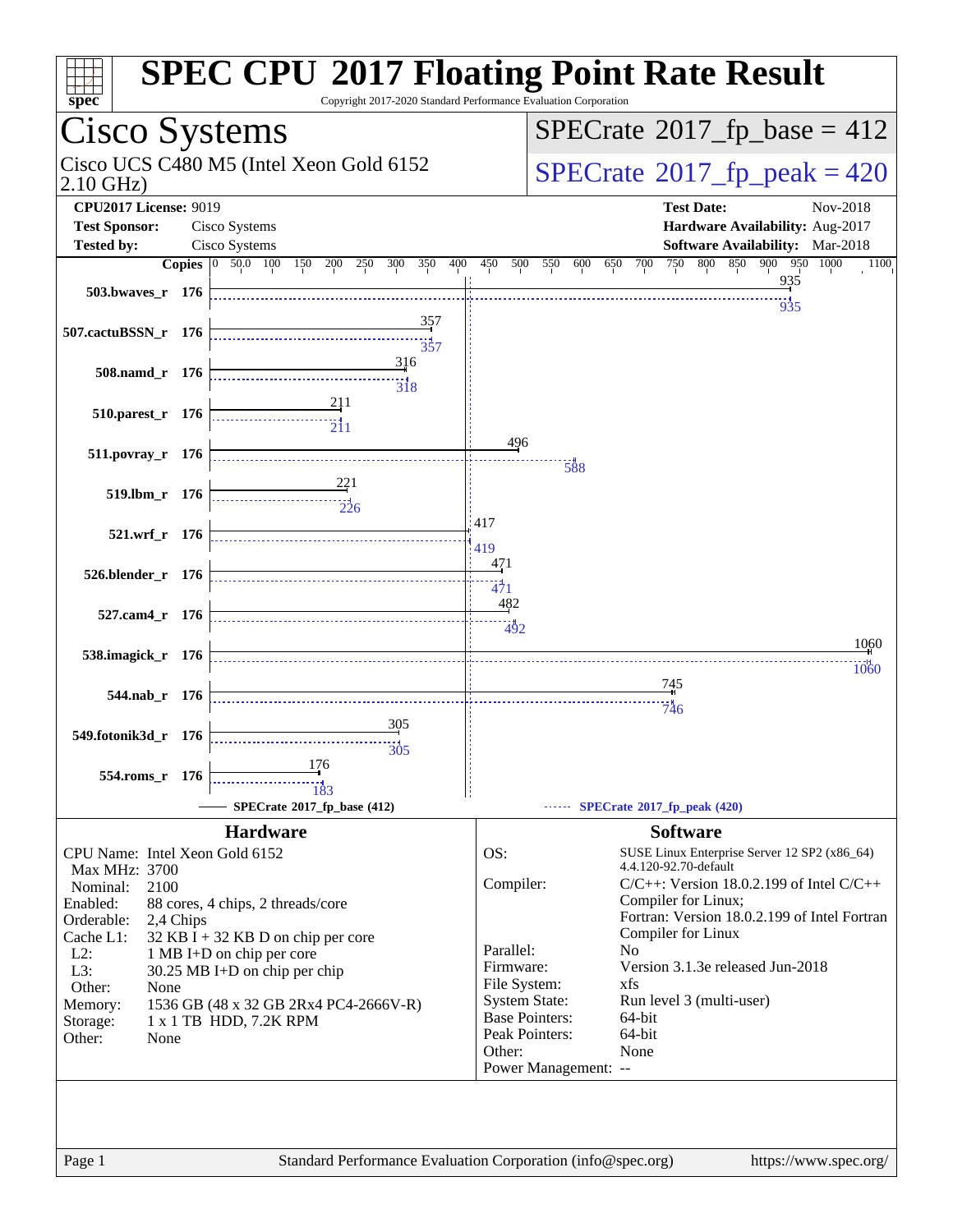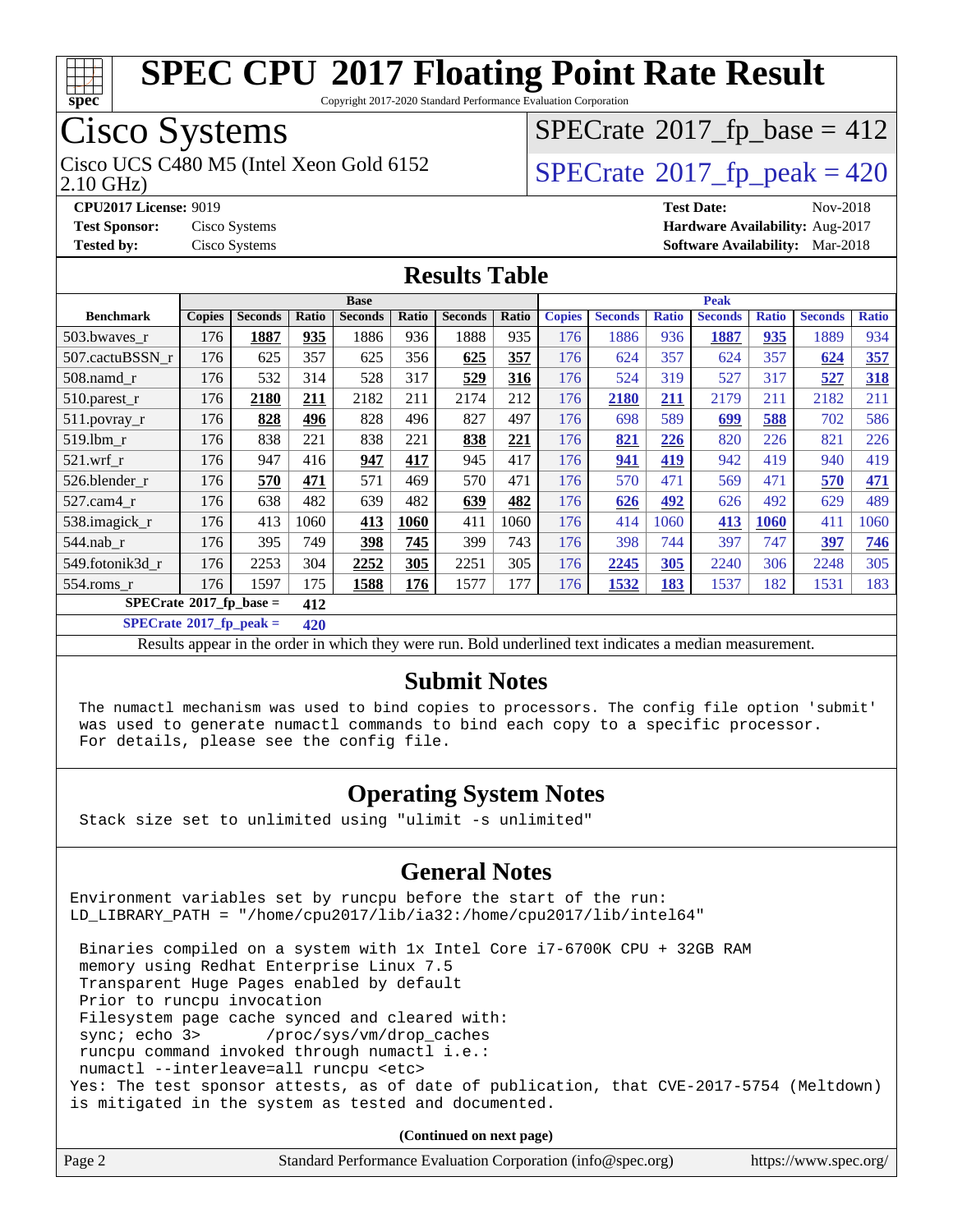

Copyright 2017-2020 Standard Performance Evaluation Corporation

# Cisco Systems

2.10 GHz) Cisco UCS C480 M5 (Intel Xeon Gold 6152  $\vert$  [SPECrate](http://www.spec.org/auto/cpu2017/Docs/result-fields.html#SPECrate2017fppeak)®[2017\\_fp\\_peak = 4](http://www.spec.org/auto/cpu2017/Docs/result-fields.html#SPECrate2017fppeak)20

 $SPECTate$ <sup>®</sup>[2017\\_fp\\_base =](http://www.spec.org/auto/cpu2017/Docs/result-fields.html#SPECrate2017fpbase) 412

**[CPU2017 License:](http://www.spec.org/auto/cpu2017/Docs/result-fields.html#CPU2017License)** 9019 **[Test Date:](http://www.spec.org/auto/cpu2017/Docs/result-fields.html#TestDate)** Nov-2018 **[Test Sponsor:](http://www.spec.org/auto/cpu2017/Docs/result-fields.html#TestSponsor)** Cisco Systems **[Hardware Availability:](http://www.spec.org/auto/cpu2017/Docs/result-fields.html#HardwareAvailability)** Aug-2017 **[Tested by:](http://www.spec.org/auto/cpu2017/Docs/result-fields.html#Testedby)** Cisco Systems **[Software Availability:](http://www.spec.org/auto/cpu2017/Docs/result-fields.html#SoftwareAvailability)** Mar-2018

### **[Results Table](http://www.spec.org/auto/cpu2017/Docs/result-fields.html#ResultsTable)**

|                                          | <b>Base</b>   |                |       |                |       | <b>Peak</b>    |       |               |                |              |                |              |                |              |
|------------------------------------------|---------------|----------------|-------|----------------|-------|----------------|-------|---------------|----------------|--------------|----------------|--------------|----------------|--------------|
| <b>Benchmark</b>                         | <b>Copies</b> | <b>Seconds</b> | Ratio | <b>Seconds</b> | Ratio | <b>Seconds</b> | Ratio | <b>Copies</b> | <b>Seconds</b> | <b>Ratio</b> | <b>Seconds</b> | <b>Ratio</b> | <b>Seconds</b> | <b>Ratio</b> |
| 503.bwaves_r                             | 176           | 1887           | 935   | 1886           | 936   | 1888           | 935   | 176           | 1886           | 936          | 1887           | 935          | 1889           | 934          |
| 507.cactuBSSN r                          | 176           | 625            | 357   | 625            | 356   | 625            | 357   | 176           | 624            | 357          | 624            | 357          | 624            | 357          |
| $508$ .namd $r$                          | 176           | 532            | 314   | 528            | 317   | 529            | 316   | 176           | 524            | 319          | 527            | 317          | 527            | 318          |
| 510.parest_r                             | 176           | 2180           | 211   | 2182           | 211   | 2174           | 212   | 176           | 2180           | 211          | 2179           | 211          | 2182           | 211          |
| 511.povray_r                             | 176           | 828            | 496   | 828            | 496   | 827            | 497   | 176           | 698            | 589          | 699            | 588          | 702            | 586          |
| $519$ .lbm $r$                           | 176           | 838            | 221   | 838            | 221   | 838            | 221   | 176           | 821            | 226          | 820            | 226          | 821            | 226          |
| $521$ .wrf r                             | 176           | 947            | 416   | 947            | 417   | 945            | 417   | 176           | 941            | 419          | 942            | 419          | 940            | 419          |
| 526.blender r                            | 176           | 570            | 471   | 571            | 469   | 570            | 471   | 176           | 570            | 471          | 569            | 471          | 570            | 471          |
| 527.cam4_r                               | 176           | 638            | 482   | 639            | 482   | 639            | 482   | 176           | 626            | 492          | 626            | 492          | 629            | 489          |
| 538.imagick_r                            | 176           | 413            | 1060  | 413            | 1060  | 411            | 1060  | 176           | 414            | 1060         | 413            | 1060         | 411            | 1060         |
| $544$ .nab r                             | 176           | 395            | 749   | 398            | 745   | 399            | 743   | 176           | 398            | 744          | 397            | 747          | 397            | 746          |
| 549.fotonik3d r                          | 176           | 2253           | 304   | 2252           | 305   | 2251           | 305   | 176           | 2245           | 305          | 2240           | 306          | 2248           | 305          |
| 554.roms r                               | 176           | 1597           | 175   | 1588           | 176   | 1577           | 177   | 176           | 1532           | 183          | 1537           | 182          | 1531           | 183          |
| $SPECrate^{\circ}2017$ _fp_base =<br>412 |               |                |       |                |       |                |       |               |                |              |                |              |                |              |

**[SPECrate](http://www.spec.org/auto/cpu2017/Docs/result-fields.html#SPECrate2017fppeak)[2017\\_fp\\_peak =](http://www.spec.org/auto/cpu2017/Docs/result-fields.html#SPECrate2017fppeak) 420**

Results appear in the [order in which they were run](http://www.spec.org/auto/cpu2017/Docs/result-fields.html#RunOrder). Bold underlined text [indicates a median measurement](http://www.spec.org/auto/cpu2017/Docs/result-fields.html#Median).

### **[Submit Notes](http://www.spec.org/auto/cpu2017/Docs/result-fields.html#SubmitNotes)**

 The numactl mechanism was used to bind copies to processors. The config file option 'submit' was used to generate numactl commands to bind each copy to a specific processor. For details, please see the config file.

## **[Operating System Notes](http://www.spec.org/auto/cpu2017/Docs/result-fields.html#OperatingSystemNotes)**

Stack size set to unlimited using "ulimit -s unlimited"

## **[General Notes](http://www.spec.org/auto/cpu2017/Docs/result-fields.html#GeneralNotes)**

Environment variables set by runcpu before the start of the run: LD\_LIBRARY\_PATH = "/home/cpu2017/lib/ia32:/home/cpu2017/lib/intel64"

 Binaries compiled on a system with 1x Intel Core i7-6700K CPU + 32GB RAM memory using Redhat Enterprise Linux 7.5 Transparent Huge Pages enabled by default Prior to runcpu invocation Filesystem page cache synced and cleared with: sync; echo 3> /proc/sys/vm/drop\_caches runcpu command invoked through numactl i.e.: numactl --interleave=all runcpu <etc> Yes: The test sponsor attests, as of date of publication, that CVE-2017-5754 (Meltdown) is mitigated in the system as tested and documented.

**(Continued on next page)**

| Page 2 | Standard Performance Evaluation Corporation (info@spec.org) | https://www.spec.org/ |
|--------|-------------------------------------------------------------|-----------------------|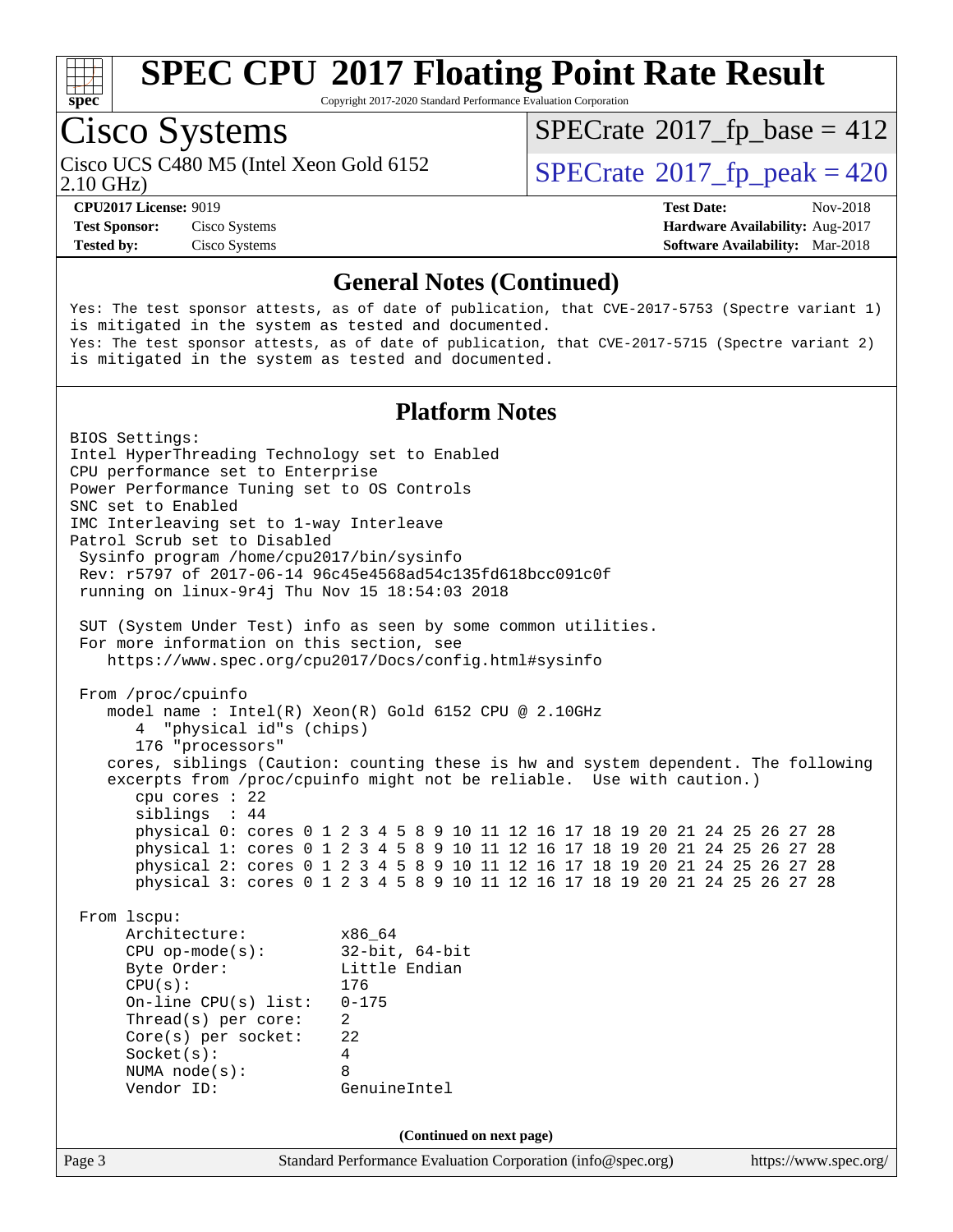

Copyright 2017-2020 Standard Performance Evaluation Corporation

# Cisco Systems

Cisco UCS C480 M5 (Intel Xeon Gold 6152  $\vert$  [SPECrate](http://www.spec.org/auto/cpu2017/Docs/result-fields.html#SPECrate2017fppeak)®[2017\\_fp\\_peak = 4](http://www.spec.org/auto/cpu2017/Docs/result-fields.html#SPECrate2017fppeak)20

 $SPECTate$ <sup>®</sup>[2017\\_fp\\_base =](http://www.spec.org/auto/cpu2017/Docs/result-fields.html#SPECrate2017fpbase) 412

2.10 GHz)

**[Tested by:](http://www.spec.org/auto/cpu2017/Docs/result-fields.html#Testedby)** Cisco Systems **[Software Availability:](http://www.spec.org/auto/cpu2017/Docs/result-fields.html#SoftwareAvailability)** Mar-2018

**[CPU2017 License:](http://www.spec.org/auto/cpu2017/Docs/result-fields.html#CPU2017License)** 9019 **[Test Date:](http://www.spec.org/auto/cpu2017/Docs/result-fields.html#TestDate)** Nov-2018 **[Test Sponsor:](http://www.spec.org/auto/cpu2017/Docs/result-fields.html#TestSponsor)** Cisco Systems **[Hardware Availability:](http://www.spec.org/auto/cpu2017/Docs/result-fields.html#HardwareAvailability)** Aug-2017

### **[General Notes \(Continued\)](http://www.spec.org/auto/cpu2017/Docs/result-fields.html#GeneralNotes)**

Yes: The test sponsor attests, as of date of publication, that CVE-2017-5753 (Spectre variant 1) is mitigated in the system as tested and documented. Yes: The test sponsor attests, as of date of publication, that CVE-2017-5715 (Spectre variant 2) is mitigated in the system as tested and documented.

### **[Platform Notes](http://www.spec.org/auto/cpu2017/Docs/result-fields.html#PlatformNotes)**

Page 3 Standard Performance Evaluation Corporation [\(info@spec.org\)](mailto:info@spec.org) <https://www.spec.org/> BIOS Settings: Intel HyperThreading Technology set to Enabled CPU performance set to Enterprise Power Performance Tuning set to OS Controls SNC set to Enabled IMC Interleaving set to 1-way Interleave Patrol Scrub set to Disabled Sysinfo program /home/cpu2017/bin/sysinfo Rev: r5797 of 2017-06-14 96c45e4568ad54c135fd618bcc091c0f running on linux-9r4j Thu Nov 15 18:54:03 2018 SUT (System Under Test) info as seen by some common utilities. For more information on this section, see <https://www.spec.org/cpu2017/Docs/config.html#sysinfo> From /proc/cpuinfo model name : Intel(R) Xeon(R) Gold 6152 CPU @ 2.10GHz 4 "physical id"s (chips) 176 "processors" cores, siblings (Caution: counting these is hw and system dependent. The following excerpts from /proc/cpuinfo might not be reliable. Use with caution.) cpu cores : 22 siblings : 44 physical 0: cores 0 1 2 3 4 5 8 9 10 11 12 16 17 18 19 20 21 24 25 26 27 28 physical 1: cores 0 1 2 3 4 5 8 9 10 11 12 16 17 18 19 20 21 24 25 26 27 28 physical 2: cores 0 1 2 3 4 5 8 9 10 11 12 16 17 18 19 20 21 24 25 26 27 28 physical 3: cores 0 1 2 3 4 5 8 9 10 11 12 16 17 18 19 20 21 24 25 26 27 28 From lscpu: Architecture: x86\_64 CPU op-mode(s): 32-bit, 64-bit Byte Order: Little Endian CPU(s): 176 On-line CPU(s) list: 0-175 Thread(s) per core: 2 Core(s) per socket: 22 Socket(s): 4 NUMA node(s): 8 Vendor ID: GenuineIntel **(Continued on next page)**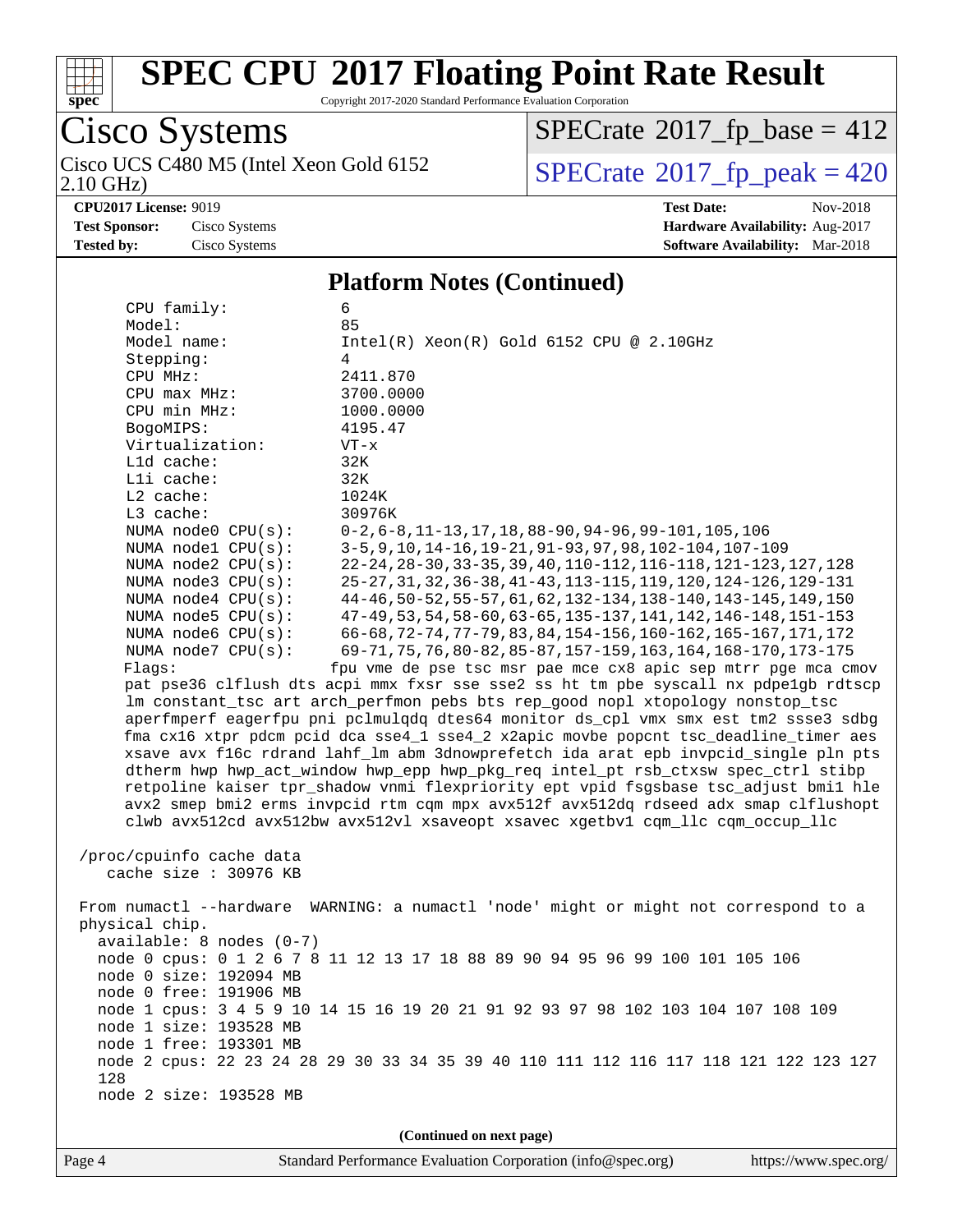

Copyright 2017-2020 Standard Performance Evaluation Corporation

### Cisco Systems 2.10 GHz) Cisco UCS C480 M5 (Intel Xeon Gold 6152  $\vert$  SPEC rate 2017 fn\_neak = 420

 $SPECTate$ <sup>®</sup>[2017\\_fp\\_base =](http://www.spec.org/auto/cpu2017/Docs/result-fields.html#SPECrate2017fpbase) 412

**[CPU2017 License:](http://www.spec.org/auto/cpu2017/Docs/result-fields.html#CPU2017License)** 9019

| $\text{Take } 201 / \text{ [1]}$ peak = 420 |          |
|---------------------------------------------|----------|
| <b>Test Date:</b>                           | Nov-2018 |

**[Test Sponsor:](http://www.spec.org/auto/cpu2017/Docs/result-fields.html#TestSponsor)** Cisco Systems **Cisco Systems [Hardware Availability:](http://www.spec.org/auto/cpu2017/Docs/result-fields.html#HardwareAvailability)** Aug-2017 **[Tested by:](http://www.spec.org/auto/cpu2017/Docs/result-fields.html#Testedby)** Cisco Systems **[Software Availability:](http://www.spec.org/auto/cpu2017/Docs/result-fields.html#SoftwareAvailability)** Mar-2018

#### **[Platform Notes \(Continued\)](http://www.spec.org/auto/cpu2017/Docs/result-fields.html#PlatformNotes)**

 CPU family: 6 Model: 85 Model name: Intel(R) Xeon(R) Gold 6152 CPU @ 2.10GHz Stepping: 4 CPU MHz: 2411.870 CPU max MHz: 3700.0000 CPU min MHz: 1000.0000 BogoMIPS: 4195.47 Virtualization: VT-x L1d cache: 32K L1i cache: 32K L2 cache: 1024K L3 cache: 30976K NUMA node0 CPU(s): 0-2,6-8,11-13,17,18,88-90,94-96,99-101,105,106 NUMA node1 CPU(s): 3-5,9,10,14-16,19-21,91-93,97,98,102-104,107-109 NUMA node2 CPU(s): 22-24,28-30,33-35,39,40,110-112,116-118,121-123,127,128 NUMA node3 CPU(s): 25-27,31,32,36-38,41-43,113-115,119,120,124-126,129-131 NUMA node4 CPU(s): 44-46,50-52,55-57,61,62,132-134,138-140,143-145,149,150 NUMA node5 CPU(s): 47-49,53,54,58-60,63-65,135-137,141,142,146-148,151-153 NUMA node6 CPU(s): 66-68,72-74,77-79,83,84,154-156,160-162,165-167,171,172 NUMA node7 CPU(s): 69-71,75,76,80-82,85-87,157-159,163,164,168-170,173-175 Flags: fpu vme de pse tsc msr pae mce cx8 apic sep mtrr pge mca cmov pat pse36 clflush dts acpi mmx fxsr sse sse2 ss ht tm pbe syscall nx pdpe1gb rdtscp lm constant\_tsc art arch\_perfmon pebs bts rep\_good nopl xtopology nonstop\_tsc aperfmperf eagerfpu pni pclmulqdq dtes64 monitor ds\_cpl vmx smx est tm2 ssse3 sdbg fma cx16 xtpr pdcm pcid dca sse4\_1 sse4\_2 x2apic movbe popcnt tsc\_deadline\_timer aes xsave avx f16c rdrand lahf\_lm abm 3dnowprefetch ida arat epb invpcid\_single pln pts dtherm hwp hwp\_act\_window hwp\_epp hwp\_pkg\_req intel\_pt rsb\_ctxsw spec\_ctrl stibp retpoline kaiser tpr\_shadow vnmi flexpriority ept vpid fsgsbase tsc\_adjust bmi1 hle avx2 smep bmi2 erms invpcid rtm cqm mpx avx512f avx512dq rdseed adx smap clflushopt clwb avx512cd avx512bw avx512vl xsaveopt xsavec xgetbv1 cqm\_llc cqm\_occup\_llc /proc/cpuinfo cache data cache size : 30976 KB From numactl --hardware WARNING: a numactl 'node' might or might not correspond to a physical chip. available: 8 nodes (0-7) node 0 cpus: 0 1 2 6 7 8 11 12 13 17 18 88 89 90 94 95 96 99 100 101 105 106 node 0 size: 192094 MB node 0 free: 191906 MB node 1 cpus: 3 4 5 9 10 14 15 16 19 20 21 91 92 93 97 98 102 103 104 107 108 109 node 1 size: 193528 MB node 1 free: 193301 MB node 2 cpus: 22 23 24 28 29 30 33 34 35 39 40 110 111 112 116 117 118 121 122 123 127 128 node 2 size: 193528 MB

**(Continued on next page)**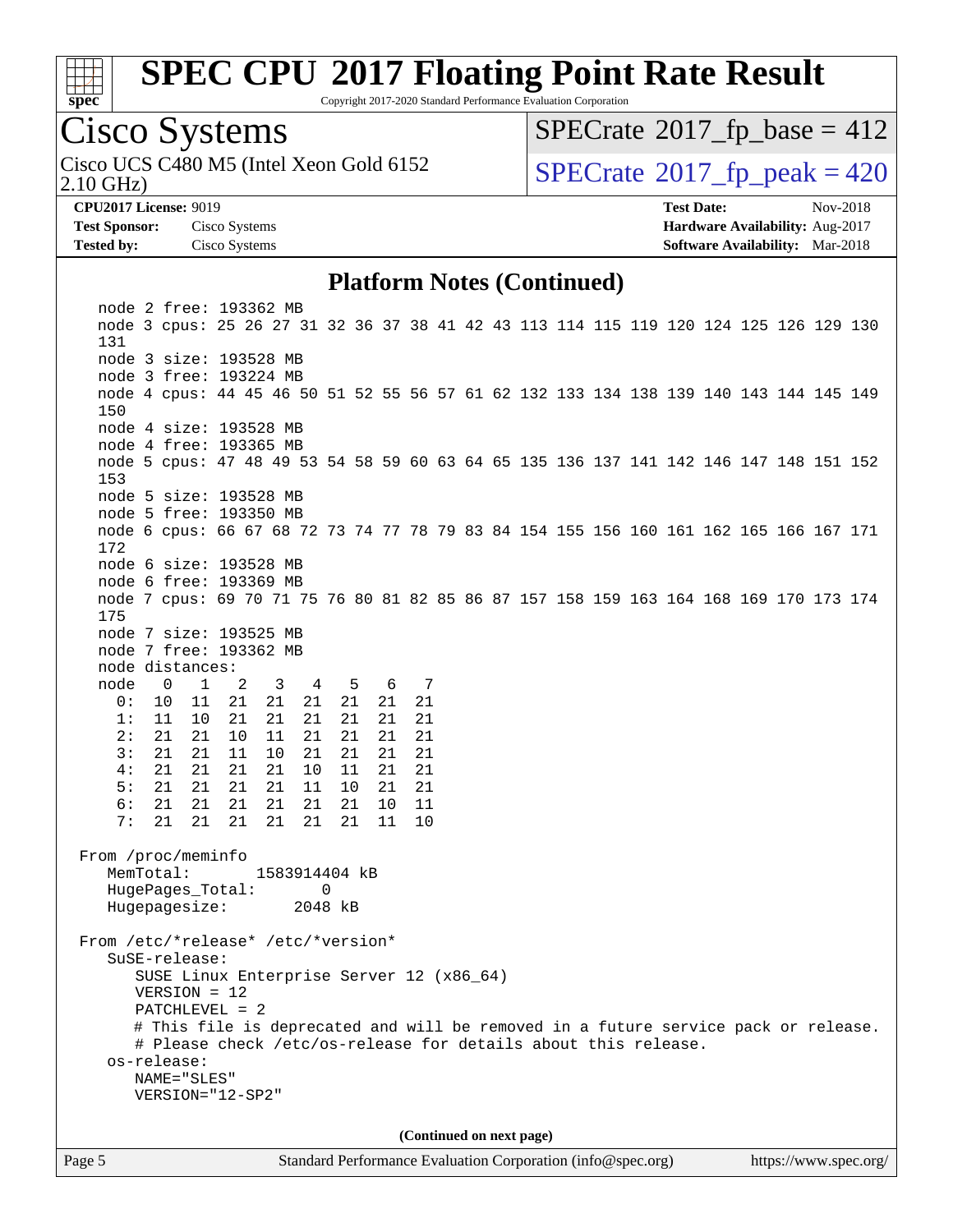

Copyright 2017-2020 Standard Performance Evaluation Corporation

# Cisco Systems

2.10 GHz) Cisco UCS C480 M5 (Intel Xeon Gold 6152  $\vert$  [SPECrate](http://www.spec.org/auto/cpu2017/Docs/result-fields.html#SPECrate2017fppeak)®[2017\\_fp\\_peak = 4](http://www.spec.org/auto/cpu2017/Docs/result-fields.html#SPECrate2017fppeak)20

 $SPECTate$ <sup>®</sup>[2017\\_fp\\_base =](http://www.spec.org/auto/cpu2017/Docs/result-fields.html#SPECrate2017fpbase) 412

**[Tested by:](http://www.spec.org/auto/cpu2017/Docs/result-fields.html#Testedby)** Cisco Systems **[Software Availability:](http://www.spec.org/auto/cpu2017/Docs/result-fields.html#SoftwareAvailability)** Mar-2018

**[CPU2017 License:](http://www.spec.org/auto/cpu2017/Docs/result-fields.html#CPU2017License)** 9019 **[Test Date:](http://www.spec.org/auto/cpu2017/Docs/result-fields.html#TestDate)** Nov-2018 **[Test Sponsor:](http://www.spec.org/auto/cpu2017/Docs/result-fields.html#TestSponsor)** Cisco Systems **[Hardware Availability:](http://www.spec.org/auto/cpu2017/Docs/result-fields.html#HardwareAvailability)** Aug-2017

### **[Platform Notes \(Continued\)](http://www.spec.org/auto/cpu2017/Docs/result-fields.html#PlatformNotes)**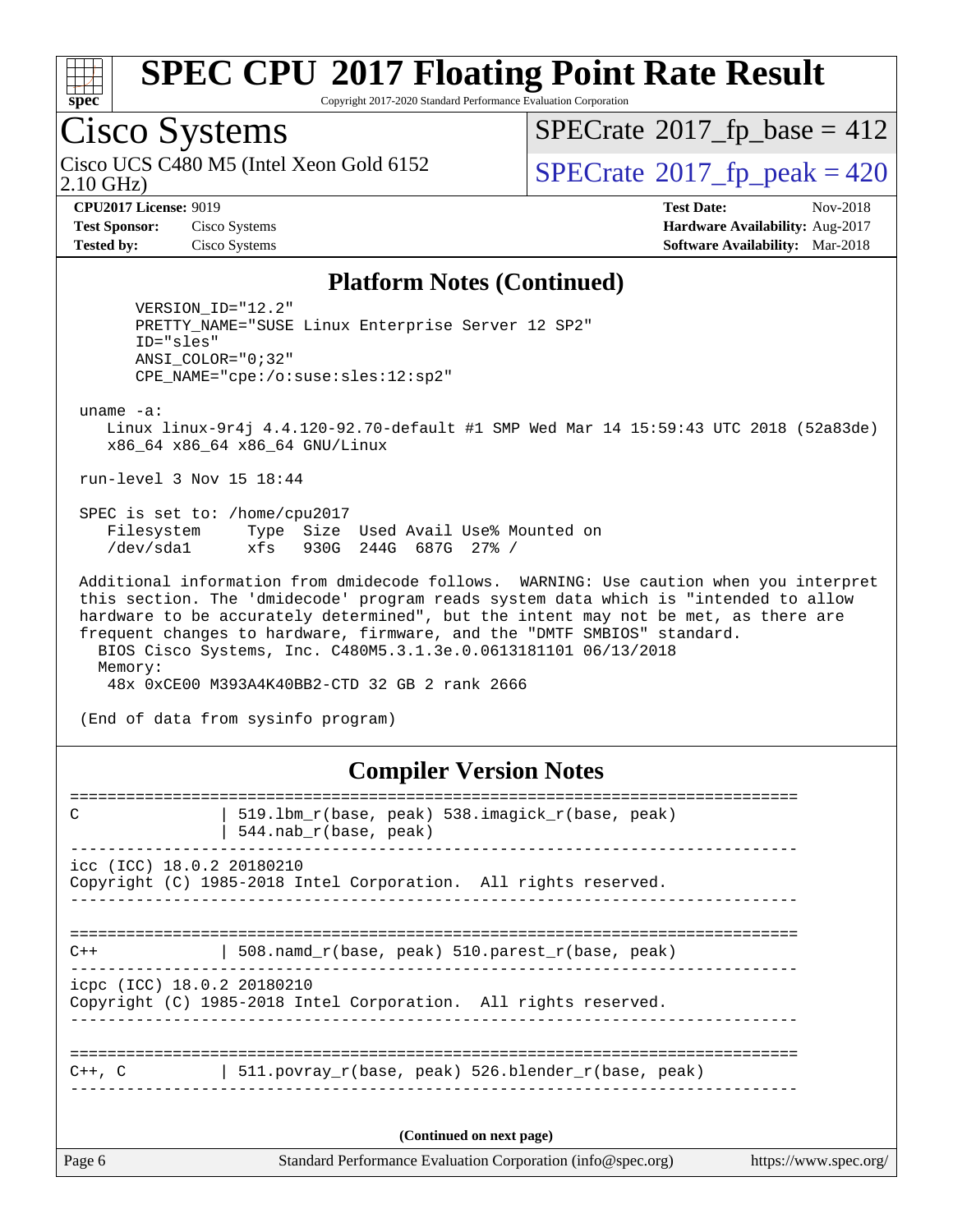

Copyright 2017-2020 Standard Performance Evaluation Corporation

# Cisco Systems

2.10 GHz) Cisco UCS C480 M5 (Intel Xeon Gold 6152  $\vert$  [SPECrate](http://www.spec.org/auto/cpu2017/Docs/result-fields.html#SPECrate2017fppeak)®[2017\\_fp\\_peak = 4](http://www.spec.org/auto/cpu2017/Docs/result-fields.html#SPECrate2017fppeak)20

 $SPECTate$ <sup>®</sup>[2017\\_fp\\_base =](http://www.spec.org/auto/cpu2017/Docs/result-fields.html#SPECrate2017fpbase) 412

**[CPU2017 License:](http://www.spec.org/auto/cpu2017/Docs/result-fields.html#CPU2017License)** 9019 **[Test Date:](http://www.spec.org/auto/cpu2017/Docs/result-fields.html#TestDate)** Nov-2018 **[Test Sponsor:](http://www.spec.org/auto/cpu2017/Docs/result-fields.html#TestSponsor)** Cisco Systems **[Hardware Availability:](http://www.spec.org/auto/cpu2017/Docs/result-fields.html#HardwareAvailability)** Aug-2017 **[Tested by:](http://www.spec.org/auto/cpu2017/Docs/result-fields.html#Testedby)** Cisco Systems **[Software Availability:](http://www.spec.org/auto/cpu2017/Docs/result-fields.html#SoftwareAvailability)** Mar-2018

### **[Platform Notes \(Continued\)](http://www.spec.org/auto/cpu2017/Docs/result-fields.html#PlatformNotes)**

 VERSION\_ID="12.2" PRETTY\_NAME="SUSE Linux Enterprise Server 12 SP2" ID="sles" ANSI\_COLOR="0;32" CPE\_NAME="cpe:/o:suse:sles:12:sp2"

uname -a:

 Linux linux-9r4j 4.4.120-92.70-default #1 SMP Wed Mar 14 15:59:43 UTC 2018 (52a83de) x86\_64 x86\_64 x86\_64 GNU/Linux

run-level 3 Nov 15 18:44

 SPEC is set to: /home/cpu2017 Filesystem Type Size Used Avail Use% Mounted on /dev/sda1 xfs 930G 244G 687G 27% /

 Additional information from dmidecode follows. WARNING: Use caution when you interpret this section. The 'dmidecode' program reads system data which is "intended to allow hardware to be accurately determined", but the intent may not be met, as there are frequent changes to hardware, firmware, and the "DMTF SMBIOS" standard. BIOS Cisco Systems, Inc. C480M5.3.1.3e.0.0613181101 06/13/2018 Memory:

48x 0xCE00 M393A4K40BB2-CTD 32 GB 2 rank 2666

(End of data from sysinfo program)

### **[Compiler Version Notes](http://www.spec.org/auto/cpu2017/Docs/result-fields.html#CompilerVersionNotes)**

Page 6 Standard Performance Evaluation Corporation [\(info@spec.org\)](mailto:info@spec.org) <https://www.spec.org/> ============================================================================== C | 519.1bm\_r(base, peak) 538.imagick\_r(base, peak) | 544.nab\_r(base, peak) ----------------------------------------------------------------------------- icc (ICC) 18.0.2 20180210 Copyright (C) 1985-2018 Intel Corporation. All rights reserved. ------------------------------------------------------------------------------ ============================================================================== C++ | 508.namd\_r(base, peak) 510.parest\_r(base, peak) ----------------------------------------------------------------------------- icpc (ICC) 18.0.2 20180210 Copyright (C) 1985-2018 Intel Corporation. All rights reserved. ------------------------------------------------------------------------------ ============================================================================== C++, C | 511.povray\_r(base, peak) 526.blender\_r(base, peak) ------------------------------------------------------------------------------ **(Continued on next page)**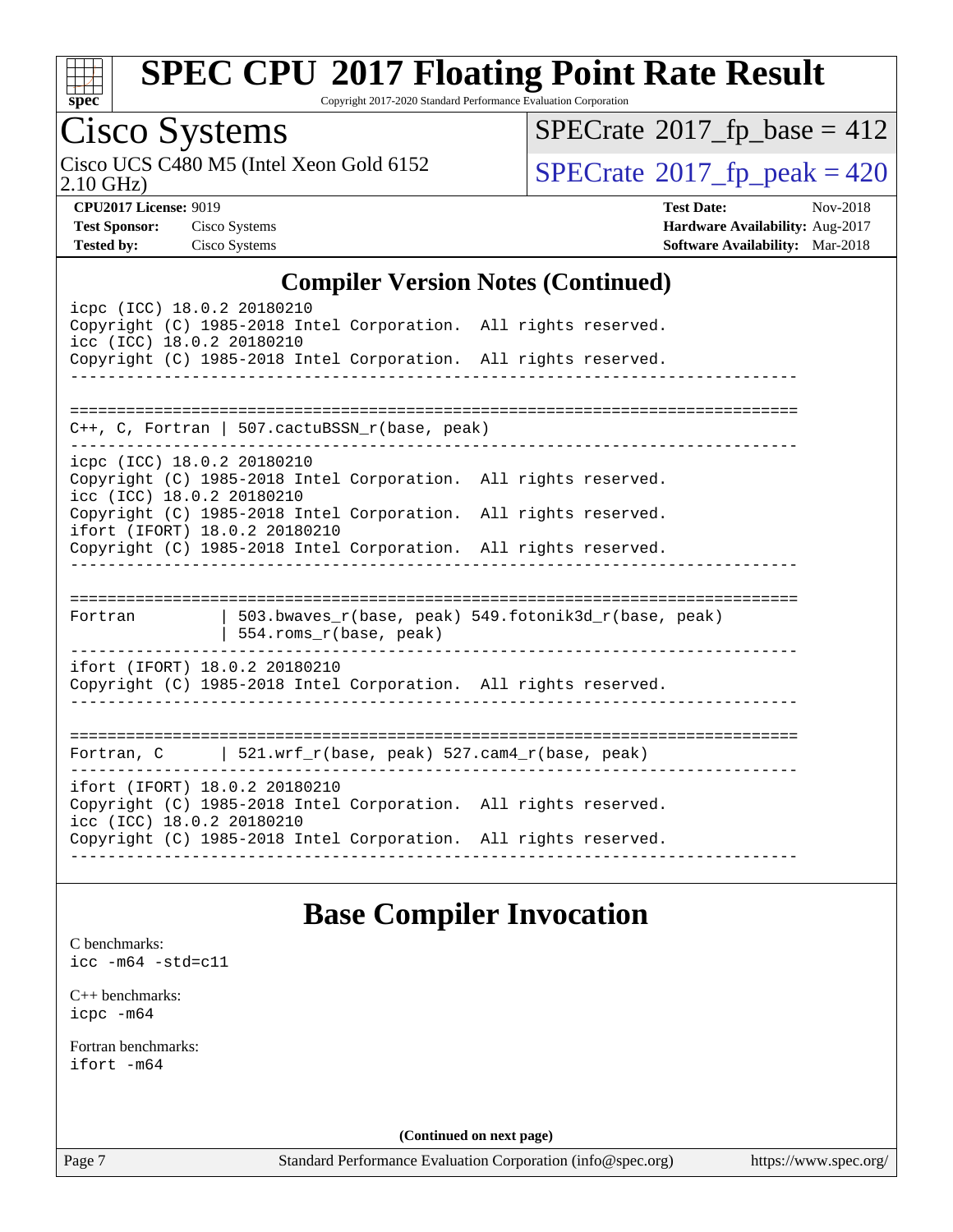

Copyright 2017-2020 Standard Performance Evaluation Corporation

# Cisco Systems<br>Cisco UCS C480 M5 (Intel Xeon Gold 6152

2.10 GHz)

 $SPECrate$ <sup>®</sup>[2017\\_fp\\_base =](http://www.spec.org/auto/cpu2017/Docs/result-fields.html#SPECrate2017fpbase) 412

 $SPECTate$ <sup>®</sup>[2017\\_fp\\_peak = 4](http://www.spec.org/auto/cpu2017/Docs/result-fields.html#SPECrate2017fppeak)20

**[CPU2017 License:](http://www.spec.org/auto/cpu2017/Docs/result-fields.html#CPU2017License)** 9019 **[Test Date:](http://www.spec.org/auto/cpu2017/Docs/result-fields.html#TestDate)** Nov-2018 **[Test Sponsor:](http://www.spec.org/auto/cpu2017/Docs/result-fields.html#TestSponsor)** Cisco Systems **[Hardware Availability:](http://www.spec.org/auto/cpu2017/Docs/result-fields.html#HardwareAvailability)** Aug-2017 **[Tested by:](http://www.spec.org/auto/cpu2017/Docs/result-fields.html#Testedby)** Cisco Systems **[Software Availability:](http://www.spec.org/auto/cpu2017/Docs/result-fields.html#SoftwareAvailability)** Mar-2018

## **[Compiler Version Notes \(Continued\)](http://www.spec.org/auto/cpu2017/Docs/result-fields.html#CompilerVersionNotes)**

| icpc (ICC) 18.0.2 20180210<br>Copyright (C) 1985-2018 Intel Corporation. All rights reserved.<br>icc (ICC) 18.0.2 20180210<br>Copyright (C) 1985-2018 Intel Corporation. All rights reserved. |  |
|-----------------------------------------------------------------------------------------------------------------------------------------------------------------------------------------------|--|
|                                                                                                                                                                                               |  |
|                                                                                                                                                                                               |  |
|                                                                                                                                                                                               |  |
| $C_{++}$ , C, Fortran   507.cactuBSSN_r(base, peak)                                                                                                                                           |  |
| icpc (ICC) 18.0.2 20180210                                                                                                                                                                    |  |
| Copyright (C) 1985-2018 Intel Corporation. All rights reserved.<br>icc (ICC) 18.0.2 20180210                                                                                                  |  |
| Copyright (C) 1985-2018 Intel Corporation. All rights reserved.                                                                                                                               |  |
| ifort (IFORT) 18.0.2 20180210                                                                                                                                                                 |  |
| Copyright (C) 1985-2018 Intel Corporation. All rights reserved.                                                                                                                               |  |
|                                                                                                                                                                                               |  |
|                                                                                                                                                                                               |  |
| ---------------------                                                                                                                                                                         |  |
| 503.bwaves_r(base, peak) 549.fotonik3d_r(base, peak)<br>Fortran<br>554.roms_r(base, peak)                                                                                                     |  |
| __________________________________                                                                                                                                                            |  |
| ifort (IFORT) 18.0.2 20180210                                                                                                                                                                 |  |
| Copyright (C) 1985-2018 Intel Corporation. All rights reserved.                                                                                                                               |  |
|                                                                                                                                                                                               |  |
|                                                                                                                                                                                               |  |
| ==================================                                                                                                                                                            |  |
| Fortran, $C$   521.wrf $r(base, peak)$ 527.cam4 $r(base, peak)$                                                                                                                               |  |
| ifort (IFORT) 18.0.2 20180210                                                                                                                                                                 |  |
| Copyright (C) 1985-2018 Intel Corporation. All rights reserved.                                                                                                                               |  |
| icc (ICC) 18.0.2 20180210                                                                                                                                                                     |  |
| Copyright (C) 1985-2018 Intel Corporation. All rights reserved.                                                                                                                               |  |
|                                                                                                                                                                                               |  |

## **[Base Compiler Invocation](http://www.spec.org/auto/cpu2017/Docs/result-fields.html#BaseCompilerInvocation)**

[C benchmarks](http://www.spec.org/auto/cpu2017/Docs/result-fields.html#Cbenchmarks): [icc -m64 -std=c11](http://www.spec.org/cpu2017/results/res2018q4/cpu2017-20181127-09992.flags.html#user_CCbase_intel_icc_64bit_c11_33ee0cdaae7deeeab2a9725423ba97205ce30f63b9926c2519791662299b76a0318f32ddfffdc46587804de3178b4f9328c46fa7c2b0cd779d7a61945c91cd35)

[C++ benchmarks:](http://www.spec.org/auto/cpu2017/Docs/result-fields.html#CXXbenchmarks) [icpc -m64](http://www.spec.org/cpu2017/results/res2018q4/cpu2017-20181127-09992.flags.html#user_CXXbase_intel_icpc_64bit_4ecb2543ae3f1412ef961e0650ca070fec7b7afdcd6ed48761b84423119d1bf6bdf5cad15b44d48e7256388bc77273b966e5eb805aefd121eb22e9299b2ec9d9)

[Fortran benchmarks](http://www.spec.org/auto/cpu2017/Docs/result-fields.html#Fortranbenchmarks): [ifort -m64](http://www.spec.org/cpu2017/results/res2018q4/cpu2017-20181127-09992.flags.html#user_FCbase_intel_ifort_64bit_24f2bb282fbaeffd6157abe4f878425411749daecae9a33200eee2bee2fe76f3b89351d69a8130dd5949958ce389cf37ff59a95e7a40d588e8d3a57e0c3fd751)

**(Continued on next page)**

Page 7 Standard Performance Evaluation Corporation [\(info@spec.org\)](mailto:info@spec.org) <https://www.spec.org/>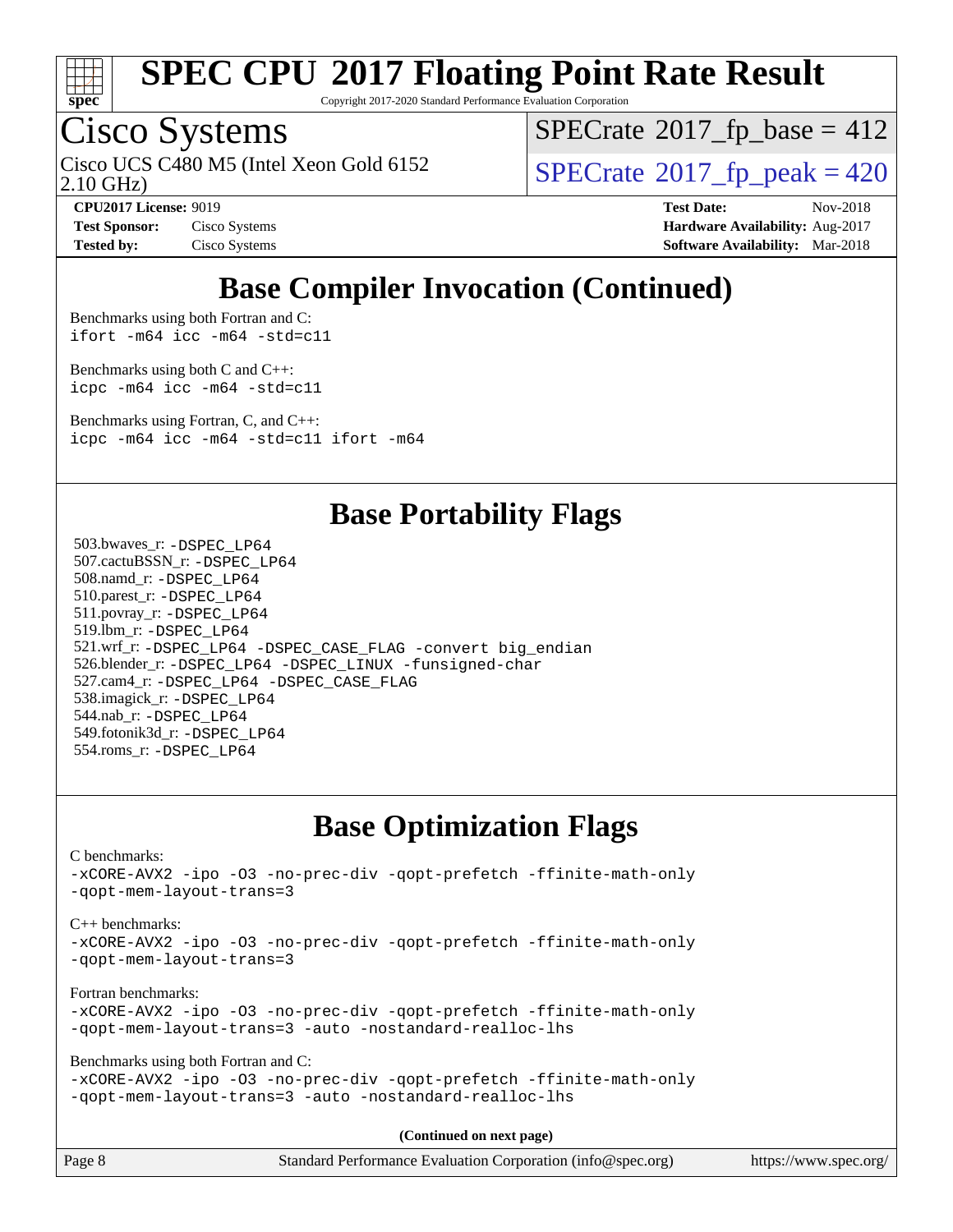

Copyright 2017-2020 Standard Performance Evaluation Corporation

# Cisco Systems

2.10 GHz) Cisco UCS C480 M5 (Intel Xeon Gold 6152  $\vert$  [SPECrate](http://www.spec.org/auto/cpu2017/Docs/result-fields.html#SPECrate2017fppeak)®[2017\\_fp\\_peak = 4](http://www.spec.org/auto/cpu2017/Docs/result-fields.html#SPECrate2017fppeak)20

 $SPECTate$ <sup>®</sup>[2017\\_fp\\_base =](http://www.spec.org/auto/cpu2017/Docs/result-fields.html#SPECrate2017fpbase) 412

**[Test Sponsor:](http://www.spec.org/auto/cpu2017/Docs/result-fields.html#TestSponsor)** Cisco Systems **Cisco Systems [Hardware Availability:](http://www.spec.org/auto/cpu2017/Docs/result-fields.html#HardwareAvailability)** Aug-2017

**[CPU2017 License:](http://www.spec.org/auto/cpu2017/Docs/result-fields.html#CPU2017License)** 9019 **[Test Date:](http://www.spec.org/auto/cpu2017/Docs/result-fields.html#TestDate)** Nov-2018 **[Tested by:](http://www.spec.org/auto/cpu2017/Docs/result-fields.html#Testedby)** Cisco Systems **[Software Availability:](http://www.spec.org/auto/cpu2017/Docs/result-fields.html#SoftwareAvailability)** Mar-2018

## **[Base Compiler Invocation \(Continued\)](http://www.spec.org/auto/cpu2017/Docs/result-fields.html#BaseCompilerInvocation)**

[Benchmarks using both Fortran and C](http://www.spec.org/auto/cpu2017/Docs/result-fields.html#BenchmarksusingbothFortranandC): [ifort -m64](http://www.spec.org/cpu2017/results/res2018q4/cpu2017-20181127-09992.flags.html#user_CC_FCbase_intel_ifort_64bit_24f2bb282fbaeffd6157abe4f878425411749daecae9a33200eee2bee2fe76f3b89351d69a8130dd5949958ce389cf37ff59a95e7a40d588e8d3a57e0c3fd751) [icc -m64 -std=c11](http://www.spec.org/cpu2017/results/res2018q4/cpu2017-20181127-09992.flags.html#user_CC_FCbase_intel_icc_64bit_c11_33ee0cdaae7deeeab2a9725423ba97205ce30f63b9926c2519791662299b76a0318f32ddfffdc46587804de3178b4f9328c46fa7c2b0cd779d7a61945c91cd35)

[Benchmarks using both C and C++](http://www.spec.org/auto/cpu2017/Docs/result-fields.html#BenchmarksusingbothCandCXX): [icpc -m64](http://www.spec.org/cpu2017/results/res2018q4/cpu2017-20181127-09992.flags.html#user_CC_CXXbase_intel_icpc_64bit_4ecb2543ae3f1412ef961e0650ca070fec7b7afdcd6ed48761b84423119d1bf6bdf5cad15b44d48e7256388bc77273b966e5eb805aefd121eb22e9299b2ec9d9) [icc -m64 -std=c11](http://www.spec.org/cpu2017/results/res2018q4/cpu2017-20181127-09992.flags.html#user_CC_CXXbase_intel_icc_64bit_c11_33ee0cdaae7deeeab2a9725423ba97205ce30f63b9926c2519791662299b76a0318f32ddfffdc46587804de3178b4f9328c46fa7c2b0cd779d7a61945c91cd35)

[Benchmarks using Fortran, C, and C++:](http://www.spec.org/auto/cpu2017/Docs/result-fields.html#BenchmarksusingFortranCandCXX) [icpc -m64](http://www.spec.org/cpu2017/results/res2018q4/cpu2017-20181127-09992.flags.html#user_CC_CXX_FCbase_intel_icpc_64bit_4ecb2543ae3f1412ef961e0650ca070fec7b7afdcd6ed48761b84423119d1bf6bdf5cad15b44d48e7256388bc77273b966e5eb805aefd121eb22e9299b2ec9d9) [icc -m64 -std=c11](http://www.spec.org/cpu2017/results/res2018q4/cpu2017-20181127-09992.flags.html#user_CC_CXX_FCbase_intel_icc_64bit_c11_33ee0cdaae7deeeab2a9725423ba97205ce30f63b9926c2519791662299b76a0318f32ddfffdc46587804de3178b4f9328c46fa7c2b0cd779d7a61945c91cd35) [ifort -m64](http://www.spec.org/cpu2017/results/res2018q4/cpu2017-20181127-09992.flags.html#user_CC_CXX_FCbase_intel_ifort_64bit_24f2bb282fbaeffd6157abe4f878425411749daecae9a33200eee2bee2fe76f3b89351d69a8130dd5949958ce389cf37ff59a95e7a40d588e8d3a57e0c3fd751)

## **[Base Portability Flags](http://www.spec.org/auto/cpu2017/Docs/result-fields.html#BasePortabilityFlags)**

 503.bwaves\_r: [-DSPEC\\_LP64](http://www.spec.org/cpu2017/results/res2018q4/cpu2017-20181127-09992.flags.html#suite_basePORTABILITY503_bwaves_r_DSPEC_LP64) 507.cactuBSSN\_r: [-DSPEC\\_LP64](http://www.spec.org/cpu2017/results/res2018q4/cpu2017-20181127-09992.flags.html#suite_basePORTABILITY507_cactuBSSN_r_DSPEC_LP64) 508.namd\_r: [-DSPEC\\_LP64](http://www.spec.org/cpu2017/results/res2018q4/cpu2017-20181127-09992.flags.html#suite_basePORTABILITY508_namd_r_DSPEC_LP64) 510.parest\_r: [-DSPEC\\_LP64](http://www.spec.org/cpu2017/results/res2018q4/cpu2017-20181127-09992.flags.html#suite_basePORTABILITY510_parest_r_DSPEC_LP64) 511.povray\_r: [-DSPEC\\_LP64](http://www.spec.org/cpu2017/results/res2018q4/cpu2017-20181127-09992.flags.html#suite_basePORTABILITY511_povray_r_DSPEC_LP64) 519.lbm\_r: [-DSPEC\\_LP64](http://www.spec.org/cpu2017/results/res2018q4/cpu2017-20181127-09992.flags.html#suite_basePORTABILITY519_lbm_r_DSPEC_LP64) 521.wrf\_r: [-DSPEC\\_LP64](http://www.spec.org/cpu2017/results/res2018q4/cpu2017-20181127-09992.flags.html#suite_basePORTABILITY521_wrf_r_DSPEC_LP64) [-DSPEC\\_CASE\\_FLAG](http://www.spec.org/cpu2017/results/res2018q4/cpu2017-20181127-09992.flags.html#b521.wrf_r_baseCPORTABILITY_DSPEC_CASE_FLAG) [-convert big\\_endian](http://www.spec.org/cpu2017/results/res2018q4/cpu2017-20181127-09992.flags.html#user_baseFPORTABILITY521_wrf_r_convert_big_endian_c3194028bc08c63ac5d04de18c48ce6d347e4e562e8892b8bdbdc0214820426deb8554edfa529a3fb25a586e65a3d812c835984020483e7e73212c4d31a38223) 526.blender\_r: [-DSPEC\\_LP64](http://www.spec.org/cpu2017/results/res2018q4/cpu2017-20181127-09992.flags.html#suite_basePORTABILITY526_blender_r_DSPEC_LP64) [-DSPEC\\_LINUX](http://www.spec.org/cpu2017/results/res2018q4/cpu2017-20181127-09992.flags.html#b526.blender_r_baseCPORTABILITY_DSPEC_LINUX) [-funsigned-char](http://www.spec.org/cpu2017/results/res2018q4/cpu2017-20181127-09992.flags.html#user_baseCPORTABILITY526_blender_r_force_uchar_40c60f00ab013830e2dd6774aeded3ff59883ba5a1fc5fc14077f794d777847726e2a5858cbc7672e36e1b067e7e5c1d9a74f7176df07886a243d7cc18edfe67) 527.cam4\_r: [-DSPEC\\_LP64](http://www.spec.org/cpu2017/results/res2018q4/cpu2017-20181127-09992.flags.html#suite_basePORTABILITY527_cam4_r_DSPEC_LP64) [-DSPEC\\_CASE\\_FLAG](http://www.spec.org/cpu2017/results/res2018q4/cpu2017-20181127-09992.flags.html#b527.cam4_r_baseCPORTABILITY_DSPEC_CASE_FLAG) 538.imagick\_r: [-DSPEC\\_LP64](http://www.spec.org/cpu2017/results/res2018q4/cpu2017-20181127-09992.flags.html#suite_basePORTABILITY538_imagick_r_DSPEC_LP64) 544.nab\_r: [-DSPEC\\_LP64](http://www.spec.org/cpu2017/results/res2018q4/cpu2017-20181127-09992.flags.html#suite_basePORTABILITY544_nab_r_DSPEC_LP64) 549.fotonik3d\_r: [-DSPEC\\_LP64](http://www.spec.org/cpu2017/results/res2018q4/cpu2017-20181127-09992.flags.html#suite_basePORTABILITY549_fotonik3d_r_DSPEC_LP64) 554.roms\_r: [-DSPEC\\_LP64](http://www.spec.org/cpu2017/results/res2018q4/cpu2017-20181127-09992.flags.html#suite_basePORTABILITY554_roms_r_DSPEC_LP64)

## **[Base Optimization Flags](http://www.spec.org/auto/cpu2017/Docs/result-fields.html#BaseOptimizationFlags)**

[C benchmarks](http://www.spec.org/auto/cpu2017/Docs/result-fields.html#Cbenchmarks): [-xCORE-AVX2](http://www.spec.org/cpu2017/results/res2018q4/cpu2017-20181127-09992.flags.html#user_CCbase_f-xCORE-AVX2) [-ipo](http://www.spec.org/cpu2017/results/res2018q4/cpu2017-20181127-09992.flags.html#user_CCbase_f-ipo) [-O3](http://www.spec.org/cpu2017/results/res2018q4/cpu2017-20181127-09992.flags.html#user_CCbase_f-O3) [-no-prec-div](http://www.spec.org/cpu2017/results/res2018q4/cpu2017-20181127-09992.flags.html#user_CCbase_f-no-prec-div) [-qopt-prefetch](http://www.spec.org/cpu2017/results/res2018q4/cpu2017-20181127-09992.flags.html#user_CCbase_f-qopt-prefetch) [-ffinite-math-only](http://www.spec.org/cpu2017/results/res2018q4/cpu2017-20181127-09992.flags.html#user_CCbase_f_finite_math_only_cb91587bd2077682c4b38af759c288ed7c732db004271a9512da14a4f8007909a5f1427ecbf1a0fb78ff2a814402c6114ac565ca162485bbcae155b5e4258871) [-qopt-mem-layout-trans=3](http://www.spec.org/cpu2017/results/res2018q4/cpu2017-20181127-09992.flags.html#user_CCbase_f-qopt-mem-layout-trans_de80db37974c74b1f0e20d883f0b675c88c3b01e9d123adea9b28688d64333345fb62bc4a798493513fdb68f60282f9a726aa07f478b2f7113531aecce732043) [C++ benchmarks:](http://www.spec.org/auto/cpu2017/Docs/result-fields.html#CXXbenchmarks) [-xCORE-AVX2](http://www.spec.org/cpu2017/results/res2018q4/cpu2017-20181127-09992.flags.html#user_CXXbase_f-xCORE-AVX2) [-ipo](http://www.spec.org/cpu2017/results/res2018q4/cpu2017-20181127-09992.flags.html#user_CXXbase_f-ipo) [-O3](http://www.spec.org/cpu2017/results/res2018q4/cpu2017-20181127-09992.flags.html#user_CXXbase_f-O3) [-no-prec-div](http://www.spec.org/cpu2017/results/res2018q4/cpu2017-20181127-09992.flags.html#user_CXXbase_f-no-prec-div) [-qopt-prefetch](http://www.spec.org/cpu2017/results/res2018q4/cpu2017-20181127-09992.flags.html#user_CXXbase_f-qopt-prefetch) [-ffinite-math-only](http://www.spec.org/cpu2017/results/res2018q4/cpu2017-20181127-09992.flags.html#user_CXXbase_f_finite_math_only_cb91587bd2077682c4b38af759c288ed7c732db004271a9512da14a4f8007909a5f1427ecbf1a0fb78ff2a814402c6114ac565ca162485bbcae155b5e4258871) [-qopt-mem-layout-trans=3](http://www.spec.org/cpu2017/results/res2018q4/cpu2017-20181127-09992.flags.html#user_CXXbase_f-qopt-mem-layout-trans_de80db37974c74b1f0e20d883f0b675c88c3b01e9d123adea9b28688d64333345fb62bc4a798493513fdb68f60282f9a726aa07f478b2f7113531aecce732043) [Fortran benchmarks](http://www.spec.org/auto/cpu2017/Docs/result-fields.html#Fortranbenchmarks): [-xCORE-AVX2](http://www.spec.org/cpu2017/results/res2018q4/cpu2017-20181127-09992.flags.html#user_FCbase_f-xCORE-AVX2) [-ipo](http://www.spec.org/cpu2017/results/res2018q4/cpu2017-20181127-09992.flags.html#user_FCbase_f-ipo) [-O3](http://www.spec.org/cpu2017/results/res2018q4/cpu2017-20181127-09992.flags.html#user_FCbase_f-O3) [-no-prec-div](http://www.spec.org/cpu2017/results/res2018q4/cpu2017-20181127-09992.flags.html#user_FCbase_f-no-prec-div) [-qopt-prefetch](http://www.spec.org/cpu2017/results/res2018q4/cpu2017-20181127-09992.flags.html#user_FCbase_f-qopt-prefetch) [-ffinite-math-only](http://www.spec.org/cpu2017/results/res2018q4/cpu2017-20181127-09992.flags.html#user_FCbase_f_finite_math_only_cb91587bd2077682c4b38af759c288ed7c732db004271a9512da14a4f8007909a5f1427ecbf1a0fb78ff2a814402c6114ac565ca162485bbcae155b5e4258871) [-qopt-mem-layout-trans=3](http://www.spec.org/cpu2017/results/res2018q4/cpu2017-20181127-09992.flags.html#user_FCbase_f-qopt-mem-layout-trans_de80db37974c74b1f0e20d883f0b675c88c3b01e9d123adea9b28688d64333345fb62bc4a798493513fdb68f60282f9a726aa07f478b2f7113531aecce732043) [-auto](http://www.spec.org/cpu2017/results/res2018q4/cpu2017-20181127-09992.flags.html#user_FCbase_f-auto) [-nostandard-realloc-lhs](http://www.spec.org/cpu2017/results/res2018q4/cpu2017-20181127-09992.flags.html#user_FCbase_f_2003_std_realloc_82b4557e90729c0f113870c07e44d33d6f5a304b4f63d4c15d2d0f1fab99f5daaed73bdb9275d9ae411527f28b936061aa8b9c8f2d63842963b95c9dd6426b8a) [Benchmarks using both Fortran and C](http://www.spec.org/auto/cpu2017/Docs/result-fields.html#BenchmarksusingbothFortranandC): [-xCORE-AVX2](http://www.spec.org/cpu2017/results/res2018q4/cpu2017-20181127-09992.flags.html#user_CC_FCbase_f-xCORE-AVX2) [-ipo](http://www.spec.org/cpu2017/results/res2018q4/cpu2017-20181127-09992.flags.html#user_CC_FCbase_f-ipo) [-O3](http://www.spec.org/cpu2017/results/res2018q4/cpu2017-20181127-09992.flags.html#user_CC_FCbase_f-O3) [-no-prec-div](http://www.spec.org/cpu2017/results/res2018q4/cpu2017-20181127-09992.flags.html#user_CC_FCbase_f-no-prec-div) [-qopt-prefetch](http://www.spec.org/cpu2017/results/res2018q4/cpu2017-20181127-09992.flags.html#user_CC_FCbase_f-qopt-prefetch) [-ffinite-math-only](http://www.spec.org/cpu2017/results/res2018q4/cpu2017-20181127-09992.flags.html#user_CC_FCbase_f_finite_math_only_cb91587bd2077682c4b38af759c288ed7c732db004271a9512da14a4f8007909a5f1427ecbf1a0fb78ff2a814402c6114ac565ca162485bbcae155b5e4258871) [-qopt-mem-layout-trans=3](http://www.spec.org/cpu2017/results/res2018q4/cpu2017-20181127-09992.flags.html#user_CC_FCbase_f-qopt-mem-layout-trans_de80db37974c74b1f0e20d883f0b675c88c3b01e9d123adea9b28688d64333345fb62bc4a798493513fdb68f60282f9a726aa07f478b2f7113531aecce732043) [-auto](http://www.spec.org/cpu2017/results/res2018q4/cpu2017-20181127-09992.flags.html#user_CC_FCbase_f-auto) [-nostandard-realloc-lhs](http://www.spec.org/cpu2017/results/res2018q4/cpu2017-20181127-09992.flags.html#user_CC_FCbase_f_2003_std_realloc_82b4557e90729c0f113870c07e44d33d6f5a304b4f63d4c15d2d0f1fab99f5daaed73bdb9275d9ae411527f28b936061aa8b9c8f2d63842963b95c9dd6426b8a)

**(Continued on next page)**

| Page 8 | Standard Performance Evaluation Corporation (info@spec.org) | https://www.spec.org/ |
|--------|-------------------------------------------------------------|-----------------------|
|--------|-------------------------------------------------------------|-----------------------|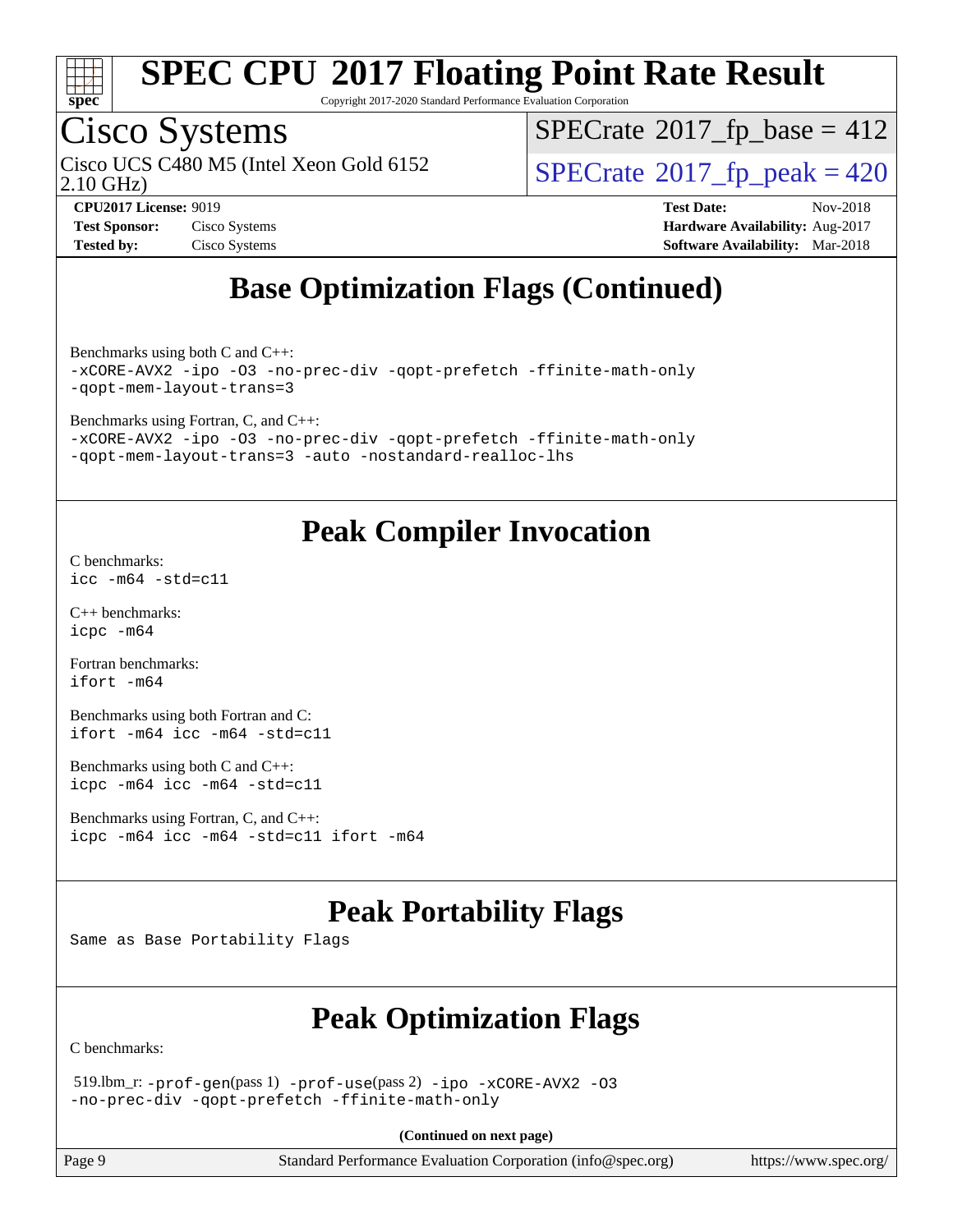

Copyright 2017-2020 Standard Performance Evaluation Corporation

## Cisco Systems

2.10 GHz) Cisco UCS C480 M5 (Intel Xeon Gold 6152  $\vert$  [SPECrate](http://www.spec.org/auto/cpu2017/Docs/result-fields.html#SPECrate2017fppeak)®[2017\\_fp\\_peak = 4](http://www.spec.org/auto/cpu2017/Docs/result-fields.html#SPECrate2017fppeak)20

 $SPECTate$ <sup>®</sup>[2017\\_fp\\_base =](http://www.spec.org/auto/cpu2017/Docs/result-fields.html#SPECrate2017fpbase) 412

| <b>Test Sponsor:</b> | Cisco Systems |
|----------------------|---------------|
| <b>Tested by:</b>    | Cisco Systems |

**[CPU2017 License:](http://www.spec.org/auto/cpu2017/Docs/result-fields.html#CPU2017License)** 9019 **[Test Date:](http://www.spec.org/auto/cpu2017/Docs/result-fields.html#TestDate)** Nov-2018 **[Hardware Availability:](http://www.spec.org/auto/cpu2017/Docs/result-fields.html#HardwareAvailability)** Aug-2017 **[Software Availability:](http://www.spec.org/auto/cpu2017/Docs/result-fields.html#SoftwareAvailability)** Mar-2018

## **[Base Optimization Flags \(Continued\)](http://www.spec.org/auto/cpu2017/Docs/result-fields.html#BaseOptimizationFlags)**

[Benchmarks using both C and C++](http://www.spec.org/auto/cpu2017/Docs/result-fields.html#BenchmarksusingbothCandCXX): [-xCORE-AVX2](http://www.spec.org/cpu2017/results/res2018q4/cpu2017-20181127-09992.flags.html#user_CC_CXXbase_f-xCORE-AVX2) [-ipo](http://www.spec.org/cpu2017/results/res2018q4/cpu2017-20181127-09992.flags.html#user_CC_CXXbase_f-ipo) [-O3](http://www.spec.org/cpu2017/results/res2018q4/cpu2017-20181127-09992.flags.html#user_CC_CXXbase_f-O3) [-no-prec-div](http://www.spec.org/cpu2017/results/res2018q4/cpu2017-20181127-09992.flags.html#user_CC_CXXbase_f-no-prec-div) [-qopt-prefetch](http://www.spec.org/cpu2017/results/res2018q4/cpu2017-20181127-09992.flags.html#user_CC_CXXbase_f-qopt-prefetch) [-ffinite-math-only](http://www.spec.org/cpu2017/results/res2018q4/cpu2017-20181127-09992.flags.html#user_CC_CXXbase_f_finite_math_only_cb91587bd2077682c4b38af759c288ed7c732db004271a9512da14a4f8007909a5f1427ecbf1a0fb78ff2a814402c6114ac565ca162485bbcae155b5e4258871) [-qopt-mem-layout-trans=3](http://www.spec.org/cpu2017/results/res2018q4/cpu2017-20181127-09992.flags.html#user_CC_CXXbase_f-qopt-mem-layout-trans_de80db37974c74b1f0e20d883f0b675c88c3b01e9d123adea9b28688d64333345fb62bc4a798493513fdb68f60282f9a726aa07f478b2f7113531aecce732043)

[Benchmarks using Fortran, C, and C++:](http://www.spec.org/auto/cpu2017/Docs/result-fields.html#BenchmarksusingFortranCandCXX)

[-xCORE-AVX2](http://www.spec.org/cpu2017/results/res2018q4/cpu2017-20181127-09992.flags.html#user_CC_CXX_FCbase_f-xCORE-AVX2) [-ipo](http://www.spec.org/cpu2017/results/res2018q4/cpu2017-20181127-09992.flags.html#user_CC_CXX_FCbase_f-ipo) [-O3](http://www.spec.org/cpu2017/results/res2018q4/cpu2017-20181127-09992.flags.html#user_CC_CXX_FCbase_f-O3) [-no-prec-div](http://www.spec.org/cpu2017/results/res2018q4/cpu2017-20181127-09992.flags.html#user_CC_CXX_FCbase_f-no-prec-div) [-qopt-prefetch](http://www.spec.org/cpu2017/results/res2018q4/cpu2017-20181127-09992.flags.html#user_CC_CXX_FCbase_f-qopt-prefetch) [-ffinite-math-only](http://www.spec.org/cpu2017/results/res2018q4/cpu2017-20181127-09992.flags.html#user_CC_CXX_FCbase_f_finite_math_only_cb91587bd2077682c4b38af759c288ed7c732db004271a9512da14a4f8007909a5f1427ecbf1a0fb78ff2a814402c6114ac565ca162485bbcae155b5e4258871) [-qopt-mem-layout-trans=3](http://www.spec.org/cpu2017/results/res2018q4/cpu2017-20181127-09992.flags.html#user_CC_CXX_FCbase_f-qopt-mem-layout-trans_de80db37974c74b1f0e20d883f0b675c88c3b01e9d123adea9b28688d64333345fb62bc4a798493513fdb68f60282f9a726aa07f478b2f7113531aecce732043) [-auto](http://www.spec.org/cpu2017/results/res2018q4/cpu2017-20181127-09992.flags.html#user_CC_CXX_FCbase_f-auto) [-nostandard-realloc-lhs](http://www.spec.org/cpu2017/results/res2018q4/cpu2017-20181127-09992.flags.html#user_CC_CXX_FCbase_f_2003_std_realloc_82b4557e90729c0f113870c07e44d33d6f5a304b4f63d4c15d2d0f1fab99f5daaed73bdb9275d9ae411527f28b936061aa8b9c8f2d63842963b95c9dd6426b8a)

## **[Peak Compiler Invocation](http://www.spec.org/auto/cpu2017/Docs/result-fields.html#PeakCompilerInvocation)**

[C benchmarks](http://www.spec.org/auto/cpu2017/Docs/result-fields.html#Cbenchmarks): [icc -m64 -std=c11](http://www.spec.org/cpu2017/results/res2018q4/cpu2017-20181127-09992.flags.html#user_CCpeak_intel_icc_64bit_c11_33ee0cdaae7deeeab2a9725423ba97205ce30f63b9926c2519791662299b76a0318f32ddfffdc46587804de3178b4f9328c46fa7c2b0cd779d7a61945c91cd35)

[C++ benchmarks:](http://www.spec.org/auto/cpu2017/Docs/result-fields.html#CXXbenchmarks) [icpc -m64](http://www.spec.org/cpu2017/results/res2018q4/cpu2017-20181127-09992.flags.html#user_CXXpeak_intel_icpc_64bit_4ecb2543ae3f1412ef961e0650ca070fec7b7afdcd6ed48761b84423119d1bf6bdf5cad15b44d48e7256388bc77273b966e5eb805aefd121eb22e9299b2ec9d9)

[Fortran benchmarks](http://www.spec.org/auto/cpu2017/Docs/result-fields.html#Fortranbenchmarks): [ifort -m64](http://www.spec.org/cpu2017/results/res2018q4/cpu2017-20181127-09992.flags.html#user_FCpeak_intel_ifort_64bit_24f2bb282fbaeffd6157abe4f878425411749daecae9a33200eee2bee2fe76f3b89351d69a8130dd5949958ce389cf37ff59a95e7a40d588e8d3a57e0c3fd751)

[Benchmarks using both Fortran and C](http://www.spec.org/auto/cpu2017/Docs/result-fields.html#BenchmarksusingbothFortranandC): [ifort -m64](http://www.spec.org/cpu2017/results/res2018q4/cpu2017-20181127-09992.flags.html#user_CC_FCpeak_intel_ifort_64bit_24f2bb282fbaeffd6157abe4f878425411749daecae9a33200eee2bee2fe76f3b89351d69a8130dd5949958ce389cf37ff59a95e7a40d588e8d3a57e0c3fd751) [icc -m64 -std=c11](http://www.spec.org/cpu2017/results/res2018q4/cpu2017-20181127-09992.flags.html#user_CC_FCpeak_intel_icc_64bit_c11_33ee0cdaae7deeeab2a9725423ba97205ce30f63b9926c2519791662299b76a0318f32ddfffdc46587804de3178b4f9328c46fa7c2b0cd779d7a61945c91cd35)

[Benchmarks using both C and C++](http://www.spec.org/auto/cpu2017/Docs/result-fields.html#BenchmarksusingbothCandCXX): [icpc -m64](http://www.spec.org/cpu2017/results/res2018q4/cpu2017-20181127-09992.flags.html#user_CC_CXXpeak_intel_icpc_64bit_4ecb2543ae3f1412ef961e0650ca070fec7b7afdcd6ed48761b84423119d1bf6bdf5cad15b44d48e7256388bc77273b966e5eb805aefd121eb22e9299b2ec9d9) [icc -m64 -std=c11](http://www.spec.org/cpu2017/results/res2018q4/cpu2017-20181127-09992.flags.html#user_CC_CXXpeak_intel_icc_64bit_c11_33ee0cdaae7deeeab2a9725423ba97205ce30f63b9926c2519791662299b76a0318f32ddfffdc46587804de3178b4f9328c46fa7c2b0cd779d7a61945c91cd35)

```
Benchmarks using Fortran, C, and C++: 
icpc -m64 icc -m64 -std=c11 ifort -m64
```
## **[Peak Portability Flags](http://www.spec.org/auto/cpu2017/Docs/result-fields.html#PeakPortabilityFlags)**

Same as Base Portability Flags

## **[Peak Optimization Flags](http://www.spec.org/auto/cpu2017/Docs/result-fields.html#PeakOptimizationFlags)**

[C benchmarks](http://www.spec.org/auto/cpu2017/Docs/result-fields.html#Cbenchmarks):

 519.lbm\_r: [-prof-gen](http://www.spec.org/cpu2017/results/res2018q4/cpu2017-20181127-09992.flags.html#user_peakPASS1_CFLAGSPASS1_LDFLAGS519_lbm_r_prof_gen_5aa4926d6013ddb2a31985c654b3eb18169fc0c6952a63635c234f711e6e63dd76e94ad52365559451ec499a2cdb89e4dc58ba4c67ef54ca681ffbe1461d6b36)(pass 1) [-prof-use](http://www.spec.org/cpu2017/results/res2018q4/cpu2017-20181127-09992.flags.html#user_peakPASS2_CFLAGSPASS2_LDFLAGS519_lbm_r_prof_use_1a21ceae95f36a2b53c25747139a6c16ca95bd9def2a207b4f0849963b97e94f5260e30a0c64f4bb623698870e679ca08317ef8150905d41bd88c6f78df73f19)(pass 2) [-ipo](http://www.spec.org/cpu2017/results/res2018q4/cpu2017-20181127-09992.flags.html#user_peakPASS1_COPTIMIZEPASS2_COPTIMIZE519_lbm_r_f-ipo) [-xCORE-AVX2](http://www.spec.org/cpu2017/results/res2018q4/cpu2017-20181127-09992.flags.html#user_peakPASS2_COPTIMIZE519_lbm_r_f-xCORE-AVX2) [-O3](http://www.spec.org/cpu2017/results/res2018q4/cpu2017-20181127-09992.flags.html#user_peakPASS1_COPTIMIZEPASS2_COPTIMIZE519_lbm_r_f-O3) [-no-prec-div](http://www.spec.org/cpu2017/results/res2018q4/cpu2017-20181127-09992.flags.html#user_peakPASS1_COPTIMIZEPASS2_COPTIMIZE519_lbm_r_f-no-prec-div) [-qopt-prefetch](http://www.spec.org/cpu2017/results/res2018q4/cpu2017-20181127-09992.flags.html#user_peakPASS1_COPTIMIZEPASS2_COPTIMIZE519_lbm_r_f-qopt-prefetch) [-ffinite-math-only](http://www.spec.org/cpu2017/results/res2018q4/cpu2017-20181127-09992.flags.html#user_peakPASS1_COPTIMIZEPASS2_COPTIMIZE519_lbm_r_f_finite_math_only_cb91587bd2077682c4b38af759c288ed7c732db004271a9512da14a4f8007909a5f1427ecbf1a0fb78ff2a814402c6114ac565ca162485bbcae155b5e4258871)

**(Continued on next page)**

Page 9 Standard Performance Evaluation Corporation [\(info@spec.org\)](mailto:info@spec.org) <https://www.spec.org/>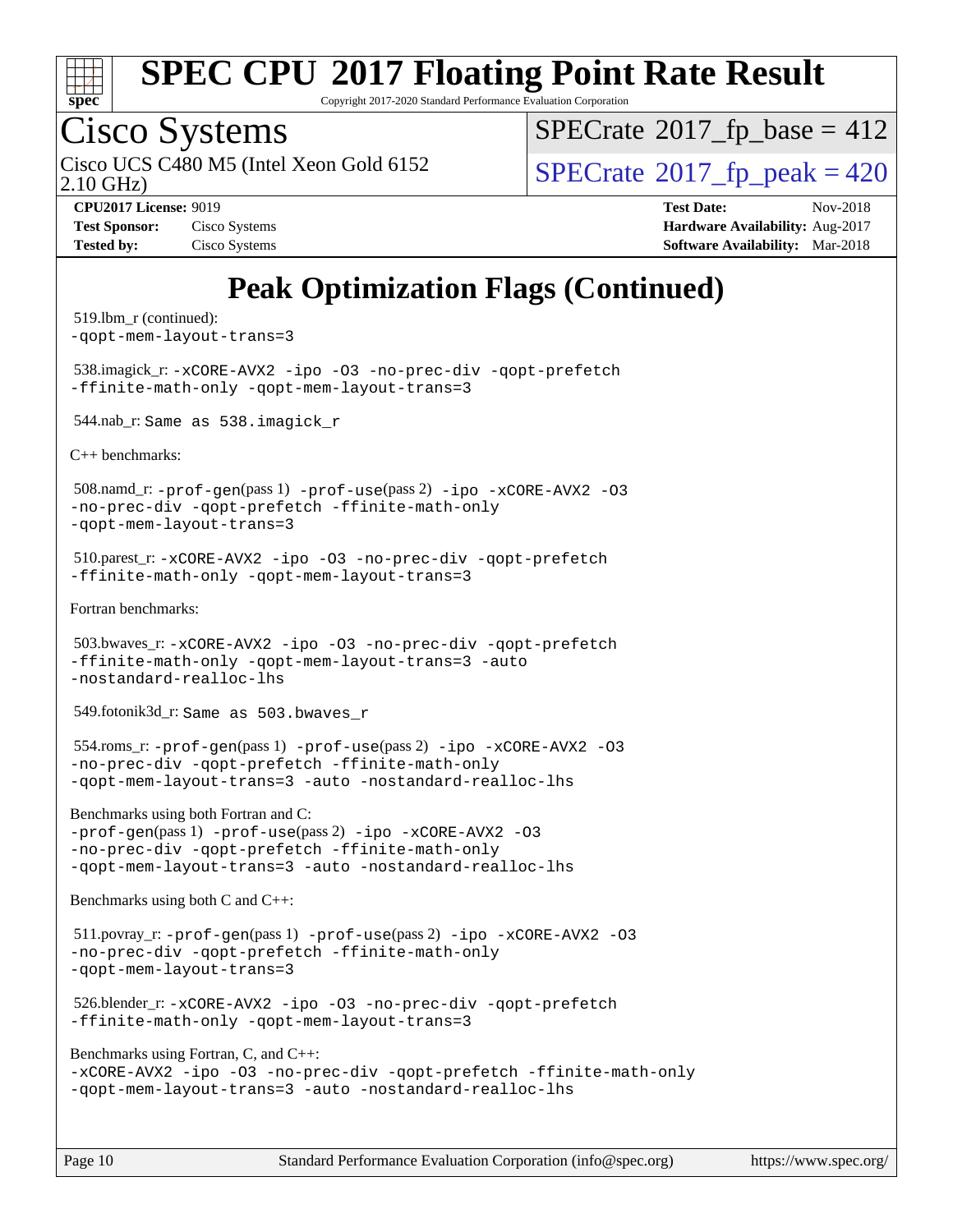

Copyright 2017-2020 Standard Performance Evaluation Corporation

# Cisco Systems

Cisco UCS C480 M5 (Intel Xeon Gold 6152  $\vert$  [SPECrate](http://www.spec.org/auto/cpu2017/Docs/result-fields.html#SPECrate2017fppeak)®[2017\\_fp\\_peak = 4](http://www.spec.org/auto/cpu2017/Docs/result-fields.html#SPECrate2017fppeak)20

 $SPECrate$ <sup>®</sup>[2017\\_fp\\_base =](http://www.spec.org/auto/cpu2017/Docs/result-fields.html#SPECrate2017fpbase) 412

2.10 GHz)

**[Tested by:](http://www.spec.org/auto/cpu2017/Docs/result-fields.html#Testedby)** Cisco Systems **[Software Availability:](http://www.spec.org/auto/cpu2017/Docs/result-fields.html#SoftwareAvailability)** Mar-2018

**[CPU2017 License:](http://www.spec.org/auto/cpu2017/Docs/result-fields.html#CPU2017License)** 9019 **[Test Date:](http://www.spec.org/auto/cpu2017/Docs/result-fields.html#TestDate)** Nov-2018 **[Test Sponsor:](http://www.spec.org/auto/cpu2017/Docs/result-fields.html#TestSponsor)** Cisco Systems **[Hardware Availability:](http://www.spec.org/auto/cpu2017/Docs/result-fields.html#HardwareAvailability)** Aug-2017

## **[Peak Optimization Flags \(Continued\)](http://www.spec.org/auto/cpu2017/Docs/result-fields.html#PeakOptimizationFlags)**

```
 519.lbm_r (continued):
-qopt-mem-layout-trans=3
 538.imagick_r: -xCORE-AVX2 -ipo -O3 -no-prec-div -qopt-prefetch
-ffinite-math-only -qopt-mem-layout-trans=3
 544.nab_r: Same as 538.imagick_r
C++ benchmarks: 
 508.namd_r: -prof-gen(pass 1) -prof-use(pass 2) -ipo -xCORE-AVX2 -O3
-no-prec-div -qopt-prefetch -ffinite-math-only
-qopt-mem-layout-trans=3
 510.parest_r: -xCORE-AVX2 -ipo -O3 -no-prec-div -qopt-prefetch
-ffinite-math-only -qopt-mem-layout-trans=3
Fortran benchmarks: 
 503.bwaves_r: -xCORE-AVX2 -ipo -O3 -no-prec-div -qopt-prefetch
-ffinite-math-only -qopt-mem-layout-trans=3 -auto
-nostandard-realloc-lhs
 549.fotonik3d_r: Same as 503.bwaves_r
 554.roms_r: -prof-gen(pass 1) -prof-use(pass 2) -ipo -xCORE-AVX2 -O3
-no-prec-div -qopt-prefetch -ffinite-math-only
-qopt-mem-layout-trans=3 -auto -nostandard-realloc-lhs
Benchmarks using both Fortran and C: 
-prof-gen(pass 1) -prof-use(pass 2) -ipo -xCORE-AVX2 -O3
-no-prec-div -qopt-prefetch -ffinite-math-only
-qopt-mem-layout-trans=3 -auto -nostandard-realloc-lhs
Benchmarks using both C and C++: 
 511.povray_r: -prof-gen(pass 1) -prof-use(pass 2) -ipo -xCORE-AVX2 -O3
-no-prec-div -qopt-prefetch -ffinite-math-only
-qopt-mem-layout-trans=3
 526.blender_r: -xCORE-AVX2 -ipo -O3 -no-prec-div -qopt-prefetch
-ffinite-math-only -qopt-mem-layout-trans=3
Benchmarks using Fortran, C, and C++: 
-xCORE-AVX2 -ipo -O3 -no-prec-div -qopt-prefetch -ffinite-math-only
-qopt-mem-layout-trans=3 -auto -nostandard-realloc-lhs
```